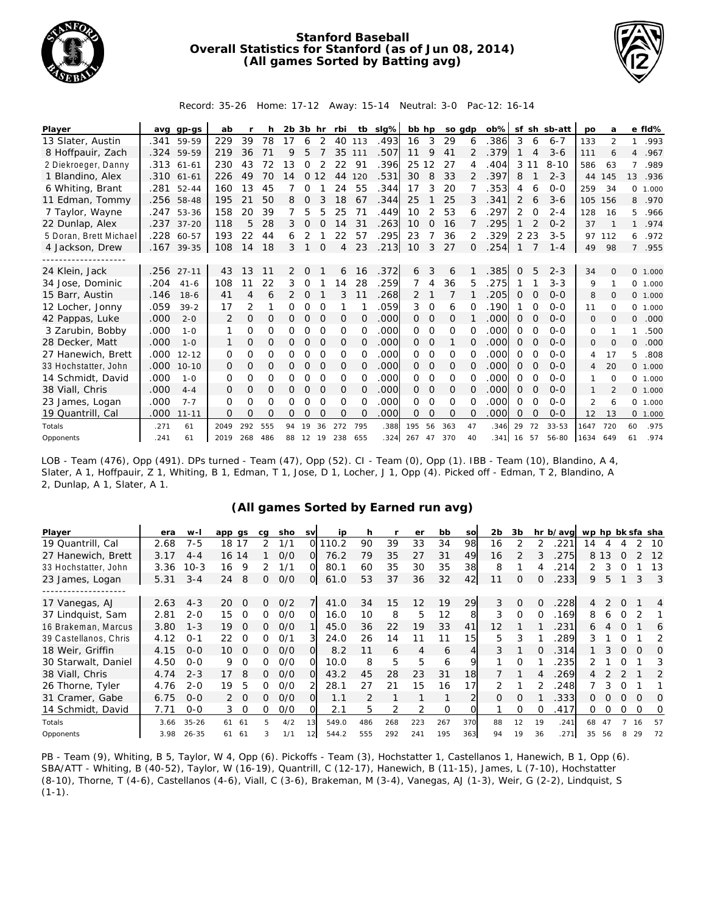

## **Stanford Baseball Overall Statistics for Stanford (as of Jun 08, 2014) (All games Sorted by Batting avg)**



Record: 35-26 Home: 17-12 Away: 15-14 Neutral: 3-0 Pac-12: 16-14

| Player                 |      | avg gp-gs  | ab       |          | h        | $2b$ $3b$ hr   |          |               | rbi            | tb       | slg% | bb hp          |             | so gdp   |          | $ob\%$ |          |                | sf sh sb-att | po             | a              |              | e fld%   |
|------------------------|------|------------|----------|----------|----------|----------------|----------|---------------|----------------|----------|------|----------------|-------------|----------|----------|--------|----------|----------------|--------------|----------------|----------------|--------------|----------|
| 13 Slater, Austin      | .341 | 59-59      | 229      | 39       | 78       | 17             | 6        | 2             | 40             | 113      | .493 | 16             | 3           | 29       | 6        | 386    | 3        | 6              | $6 - 7$      | 133            | $\overline{2}$ | 1            | .993     |
| 8 Hoffpauir, Zach      |      | .324 59-59 | 219      | 36       | 71       | $\mathsf Q$    | 5        |               | 35             | 111      | .507 | 11             | 9           | 41       | 2        | .379   |          | 4              | $3-6$        | 111            | 6              |              | 4.967    |
| 2 Diekroeger, Danny    | .313 | $61 - 61$  | 230      | 43       | 72       | 13             | 0        | 2             | 22             | 91       | .396 | 25             | 2           | 27       | 4        | .404   | 3        | 11             | $8 - 10$     | 586            | 63             | 7            | .989     |
| 1 Blandino, Alex       | .310 | $61 - 61$  | 226      | 49       | 70       | 14             | $\Omega$ | 12            | 44             | 120      | .531 | 30             | 8           | 33       | 2        | .397   | 8        |                | $2 - 3$      | 44             | 145            | 13           | .936     |
| 6 Whiting, Brant       | .281 | $52 - 44$  | 160      | 13       | 45       |                | 0        |               | 24             | 55       | .344 | 17             | 3           | 20       |          | .353   | 4        | 6              | $0 - 0$      | 259            | 34             | 0            | 1.000    |
| 11 Edman, Tommy        | .256 | 58-48      | 195      | 21       | 50       | 8              | $\Omega$ | 3             | 18             | 67       | .344 | 25             |             | 25       | 3        | .341   | 2        | 6              | $3 - 6$      | 105            | 156            | 8            | .970     |
| 7 Taylor, Wayne        | .247 | 53-36      | 158      | 20       | 39       | 7              | 5        | 5             | 25             | 71       | .449 | 10             | 2           | 53       | 6        | .297   | 2        | $\Omega$       | $2 - 4$      | 128            | 16             | 5.           | .966     |
| 22 Dunlap, Alex        | .237 | $37 - 20$  | 118      | 5        | 28       | 3              | 0        | 0             | 14             | 31       | .263 | 10             | $\Omega$    | 16       |          | .295   |          | $\overline{2}$ | $0 - 2$      | 37             | 1              | $\mathbf{1}$ | .974     |
| 5 Doran, Brett Michael | .228 | 60-57      | 193      | 22       | 44       | 6              | 2        |               | 22             | 57       | .295 | 23             |             | 36       | 2        | 329    |          | 2 2 3          | $3 - 5$      | 97             | 112            | 6            | .972     |
| 4 Jackson, Drew        |      | .167 39-35 | 108      | 14       | 18       | 3              |          | $\mathcal{O}$ | $\overline{4}$ | 23       | .213 | 10             | 3           | 27       | 0        | .254   |          |                | $1 - 4$      | 49             | 98             | $7^{\circ}$  | .955     |
|                        |      |            |          |          |          |                |          |               |                |          |      |                |             |          |          |        |          |                |              |                |                |              |          |
| 24 Klein, Jack         | .256 | $27 - 11$  | 43       | 13       | 11       | 2              | O        |               | 6              | 16       | .372 | 6              | 3           | 6        |          | 385    | $\Omega$ | 5              | $2 - 3$      | 34             | $\Omega$       |              | 0 1.000  |
| 34 Jose, Dominic       | .204 | $41 - 6$   | 108      | 11       | 22       | 3              | 0        |               | 14             | 28       | .259 | 7              | 4           | 36       | 5        | 275    |          |                | $3 - 3$      | 9              | 1              |              | 0 1.000  |
| 15 Barr, Austin        | .146 | $18-6$     | 41       | 4        | 6        | $\overline{2}$ | $\Omega$ |               | 3              | 11       | .268 | $\overline{2}$ |             | 7        |          | .205   | $\Omega$ | $\Omega$       | $O - O$      | 8              | $\Omega$       |              | 0 1.000  |
| 12 Locher, Jonny       | .059 | $39 - 2$   | 17       | 2        |          | 0              | $\Omega$ | $\Omega$      |                |          | .059 | 3              | $\Omega$    | 6        | O        | .190   |          | $\Omega$       | $0 - 0$      | 11             | $\Omega$       |              | 0 1.000  |
| 42 Pappas, Luke        | .000 | $2 - 0$    | 2        | $\Omega$ | $\Omega$ | 0              | $\Omega$ | $\Omega$      | 0              | 0        | .000 | Ω              | 0           | 0        |          | .000   | $\Omega$ | $\Omega$       | $0 - 0$      | $\Omega$       | $\Omega$       | 0            | .000     |
| 3 Zarubin, Bobby       | .000 | $1 - 0$    | 1        | $\Omega$ | $\Omega$ | Ω              | 0        | $\Omega$      | O              | $\Omega$ | .000 | 0              | $\Omega$    | $\Omega$ | $\Omega$ | .000   | $\Omega$ | $\Omega$       | $0 - 0$      | $\Omega$       |                |              | .500     |
| 28 Decker, Matt        | .000 | $1 - 0$    | 1        | $\Omega$ | $\Omega$ | 0              | $\Omega$ | 0             | 0              | 0        | .000 | Ω              | 0           |          | 0        | .000   | 0        | O              | $0 - 0$      | 0              | $\Omega$       | 0            | .000     |
| 27 Hanewich, Brett     | .000 | $12 - 12$  | $\Omega$ | O        | $\Omega$ | 0              | $\Omega$ | $\Omega$      | 0              | $\Omega$ | .000 | 0              | $\Omega$    | $\Omega$ | 0        | .000   | 0        | $\Omega$       | $0 - 0$      | 4              | 17             | 5.           | .808     |
| 33 Hochstatter, John   | .000 | $10 - 10$  | $\Omega$ | 0        | 0        | $\circ$        | $\Omega$ | 0             | 0              | 0        | .000 | $\Omega$       | $\mathbf 0$ | 0        | 0        | .000   | 0        | 0              | $0 - 0$      | 4              | 20             |              | 0, 1,000 |
| 14 Schmidt, David      | .000 | $1 - 0$    | O        | $\Omega$ | $\Omega$ | 0              | $\Omega$ | $\Omega$      | $\Omega$       | $\Omega$ | .000 | 0              | $\Omega$    | $\Omega$ | $\Omega$ | .000   | $\Omega$ | $\Omega$       | $0 - 0$      |                | $\Omega$       |              | 0 1.000  |
| 38 Viall, Chris        | .000 | $4 - 4$    | 0        | 0        | $\Omega$ | 0              | $\Omega$ | $\Omega$      | O              | O        | .000 | Ω              | 0           | 0        | $\Omega$ | .000   | $\Omega$ | $\Omega$       | $0 - 0$      |                | $\overline{2}$ |              | 0 1.000  |
| 23 James, Logan        | .000 | $7 - 7$    | O        | $\Omega$ | $\Omega$ | 0              | $\Omega$ | $\Omega$      | 0              | $\Omega$ | .000 | 0              | O           | $\Omega$ | 0        | .000   | $\Omega$ | $\mathcal{O}$  | $0 - 0$      | $\overline{2}$ | 6              |              | 0 1.000  |
| 19 Quantrill, Cal      | .000 | $11 - 11$  | $\Omega$ | $\Omega$ | $\Omega$ | 0              | $\Omega$ | $\Omega$      | $\Omega$       | O        | 000  | $\Omega$       | O           | $\Omega$ | $\Omega$ | 000    | $\Omega$ | O              | $0 - 0$      | 12             | 13             | 0            | 1.000    |
| Totals                 | .271 | 61         | 2049     | 292      | 555      | 94             | 19       | 36            | 272            | 795      | .388 | 195            | 56          | 363      | 47       | .346   | 29       | 72             | $33 - 53$    | 1647           | 720            | 60           | .975     |
| Opponents              | .241 | 61         | 2019     | 268      | 486      | 88             | 12       | -19           | 238            | 655      | .324 | 267            | 47          | 370      | 40       | 341    | 16       | 57             | 56-80        | 1634           | 649            | 61           | .974     |

LOB - Team (476), Opp (491). DPs turned - Team (47), Opp (52). CI - Team (0), Opp (1). IBB - Team (10), Blandino, A 4, Slater, A 1, Hoffpauir, Z 1, Whiting, B 1, Edman, T 1, Jose, D 1, Locher, J 1, Opp (4). Picked off - Edman, T 2, Blandino, A 2, Dunlap, A 1, Slater, A 1.

## **(All games Sorted by Earned run avg)**

| Player                | era  | w-l       | app gs     |          | ca | sho | <b>SV</b>      | ip    | h   |                | er  | bb       | SO              | 2b            | 3b       |              | hr b/avg | wp hp bk sfa sha |          |               |          |          |
|-----------------------|------|-----------|------------|----------|----|-----|----------------|-------|-----|----------------|-----|----------|-----------------|---------------|----------|--------------|----------|------------------|----------|---------------|----------|----------|
| 19 Quantrill, Cal     | 2.68 | $7 - 5$   | 18         | 17       | 2  | 1/1 | O.             | 10.2  | 90  | 39             | 33  | 34       | 98              | 16            |          |              | 221      | 14               |          |               |          | 10       |
| 27 Hanewich, Brett    | 3.17 | $4 - 4$   | 16 14      |          |    | O/O | O.             | 76.2  | 79  | 35             | 27  | 31       | 49              | 16            |          |              | 275      |                  | 8 1 3    | $\bigcap$     |          | 12       |
| 33 Hochstatter, John  | 3.36 | 10-3      | 16         | Q        | 2  | 1/1 | O.             | 80.1  | 60  | 35             | 30  | 35       | 38              | 8             |          |              | 214      |                  |          |               |          | 13       |
| 23 James, Logan       | 5.31 | $3 - 4$   | 24         | 8        | 0  | O/O | $\overline{O}$ | 61.0  | 53  | 37             | 36  | 32       | 42              | 11            | 0        |              | .233     | 9                | 5        |               | 3        | -3       |
|                       |      |           |            |          |    |     |                |       |     |                |     |          |                 |               |          |              |          |                  |          |               |          |          |
| 17 Vanegas, AJ        | 2.63 | $4 - 3$   | 20         | $\Omega$ | Ω  | O/2 |                | 41.0  | 34  | 15             | 12  | 19       | 29              | $\mathcal{E}$ | $\Omega$ | $\Omega$     | .228     | 4                |          | 0             |          | 4        |
| 37 Lindquist, Sam     | 2.81 | $2 - 0$   | 15         | $\Omega$ | 0  | O/O | O.             | 16.0  | 10  | 8              | 5   | 12       | 8               | 3             | $\Omega$ | O            | 169      | 8                | 6        | $\Omega$      |          |          |
| 16 Brakeman, Marcus   | 3.80 | $1 - 3$   | 19         | O        | 0  | O/O |                | 45.0  | 36  | 22             | 19  | 33       | 41              | 12            |          |              | 231      | 6                |          | Ω             |          | 6        |
| 39 Castellanos, Chris | 4.12 | $O - 1$   | 22         | - 0      | 0  | 0/1 | $\overline{3}$ | 24.0  | 26  | 14             |     | 11       | 15 <sub>1</sub> | 5.            | 3        |              | 289      | 3                |          |               |          |          |
| 18 Weir, Griffin      | 4.15 | $O - O$   | 10         | $\Omega$ | ∩  | O/O | O.             | 8.2   | 11  | 6              | 4   | 6        | $\overline{4}$  | 3             |          | <sup>o</sup> | 314      |                  | 3        | $\Omega$      | $\Omega$ | $\Omega$ |
| 30 Starwalt, Daniel   | 4.50 | $O-O$     | 9          |          | O  | O/O | O.             | 10.0  | 8   | 5              | 5   | 6        | 9               |               | Ω        |              | 235      |                  |          | $\Omega$      |          | 3        |
| 38 Viall, Chris       | 4.74 | $2 - 3$   | 17         | 8        | Ω  | O/O | $\Omega$       | 43.2  | 45  | 28             | 23  | 31       | 18              |               |          |              | 269      | 4                |          | $\mathcal{P}$ |          | 2        |
| 26 Thorne, Tyler      | 4.76 | $2 - 0$   | 19         | 5        | O  | O/O |                | 28.1  | 27  | 21             | 15  | 16       | 17              |               |          |              | 248      |                  | 3        | $\Omega$      |          |          |
| 31 Cramer, Gabe       | 6.75 | $O-O$     | $2\quad 0$ |          | 0  | O/O | O.             | 1.1   |     |                |     | 1        | $\overline{2}$  | $\Omega$      | $\Omega$ |              | .333     | Ω                | O.       | 0             | O        | $\Omega$ |
| 14 Schmidt, David     | 7.71 | $0 - 0$   | 3.         | $\cap$   | 0  | 0/0 | 0              | 2.1   | 5.  | $\overline{2}$ | 2   | $\Omega$ | $\Omega$        |               | $\Omega$ | $\Omega$     | 417      | 0                | $\Omega$ | $\Omega$      | $\Omega$ | O        |
| Totals                | 3.66 | $35 - 26$ | 61         | -61      | 5  | 4/2 | 13             | 549.0 | 486 | 268            | 223 | 267      | 370             | 88            | 12       | 19           | .241     | 68               | 47       |               | 16       | 57       |
| Opponents             | 3.98 | $26 - 35$ | 61 61      |          |    | 1/1 | 12             | 544.2 | 555 | 292            | 241 | 195      | 363             | 94            | 19       | 36           | 271      | 35               | 56       |               | 29       | 72       |

PB - Team (9), Whiting, B 5, Taylor, W 4, Opp (6). Pickoffs - Team (3), Hochstatter 1, Castellanos 1, Hanewich, B 1, Opp (6). SBA/ATT - Whiting, B (40-52), Taylor, W (16-19), Quantrill, C (12-17), Hanewich, B (11-15), James, L (7-10), Hochstatter (8-10), Thorne, T (4-6), Castellanos (4-6), Viall, C (3-6), Brakeman, M (3-4), Vanegas, AJ (1-3), Weir, G (2-2), Lindquist, S  $(1-1)$ .